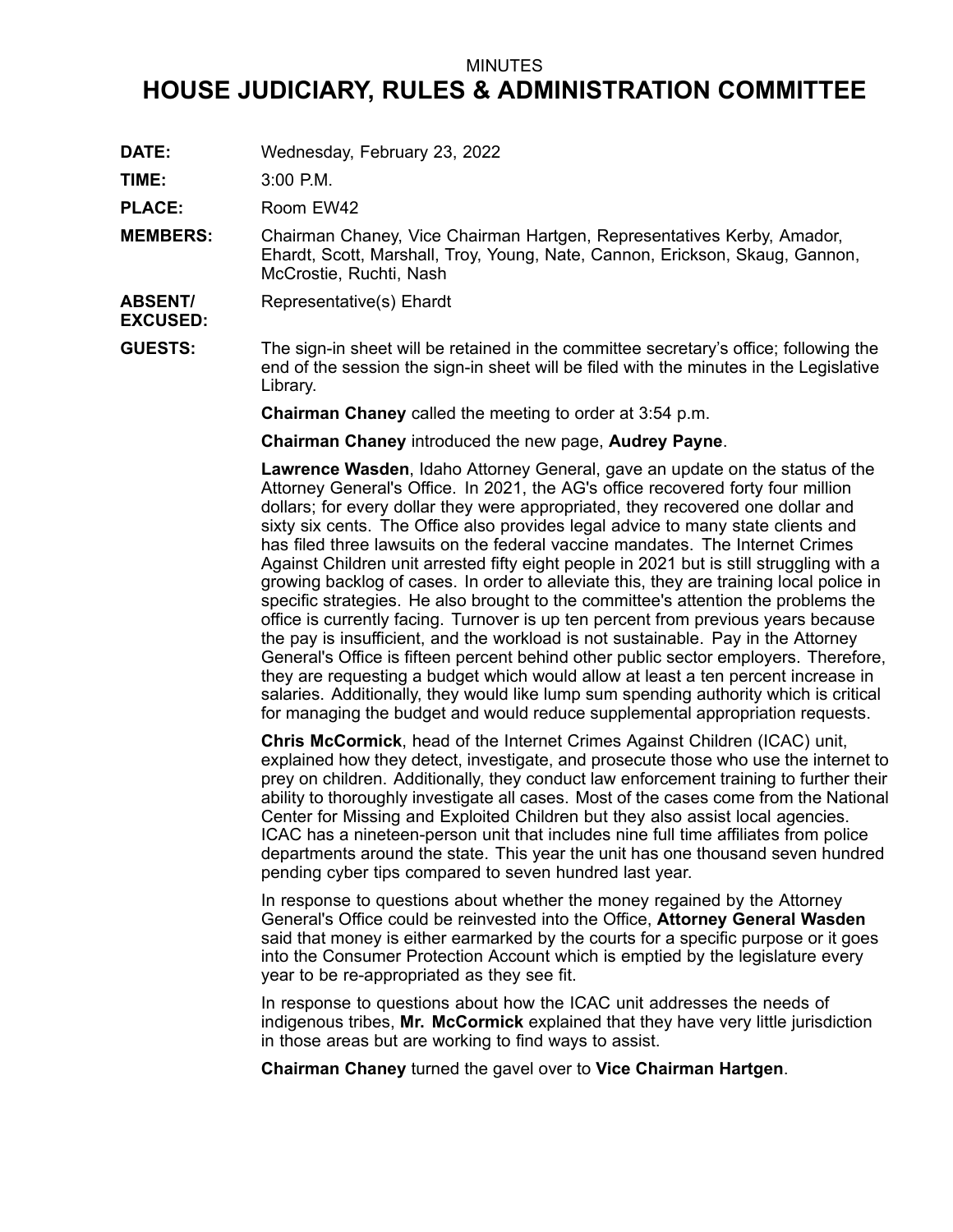## MINUTES

## **HOUSE JUDICIARY, RULES & ADMINISTRATION COMMITTEE**

**DATE:** Wednesday, February 23, 2022

**TIME:** 3:00 P.M.

PLACE: Room EW42

- **MEMBERS:** Chairman Chaney, Vice Chairman Hartgen, Representatives Kerby, Amador, Ehardt, Scott, Marshall, Troy, Young, Nate, Cannon, Erickson, Skaug, Gannon, McCrostie, Ruchti, Nash
- **ABSENT/** Representative(s) Ehardt

**EXCUSED:**

**GUESTS:** The sign-in sheet will be retained in the committee secretary's office; following the end of the session the sign-in sheet will be filed with the minutes in the Legislative Library.

**Chairman Chaney** called the meeting to order at 3:54 p.m.

**Chairman Chaney** introduced the new page, **Audrey Payne**.

**Lawrence Wasden**, Idaho Attorney General, gave an update on the status of the Attorney General's Office. In 2021, the AG's office recovered forty four million dollars; for every dollar they were appropriated, they recovered one dollar and sixty six cents. The Office also provides legal advice to many state clients and has filed three lawsuits on the federal vaccine mandates. The Internet Crimes Against Children unit arrested fifty eight people in 2021 but is still struggling with <sup>a</sup> growing backlog of cases. In order to alleviate this, they are training local police in specific strategies. He also brought to the committee's attention the problems the office is currently facing. Turnover is up ten percent from previous years because the pay is insufficient, and the workload is not sustainable. Pay in the Attorney General's Office is fifteen percent behind other public sector employers. Therefore, they are requesting <sup>a</sup> budget which would allow at least <sup>a</sup> ten percent increase in salaries. Additionally, they would like lump sum spending authority which is critical for managing the budget and would reduce supplemental appropriation requests.

**Chris McCormick**, head of the Internet Crimes Against Children (ICAC) unit, explained how they detect, investigate, and prosecute those who use the internet to prey on children. Additionally, they conduct law enforcement training to further their ability to thoroughly investigate all cases. Most of the cases come from the National Center for Missing and Exploited Children but they also assist local agencies. ICAC has <sup>a</sup> nineteen-person unit that includes nine full time affiliates from police departments around the state. This year the unit has one thousand seven hundred pending cyber tips compared to seven hundred last year.

In response to questions about whether the money regained by the Attorney General's Office could be reinvested into the Office, **Attorney General Wasden** said that money is either earmarked by the courts for <sup>a</sup> specific purpose or it goes into the Consumer Protection Account which is emptied by the legislature every year to be re-appropriated as they see fit.

In response to questions about how the ICAC unit addresses the needs of indigenous tribes, **Mr. McCormick** explained that they have very little jurisdiction in those areas but are working to find ways to assist.

**Chairman Chaney** turned the gavel over to **Vice Chairman Hartgen**.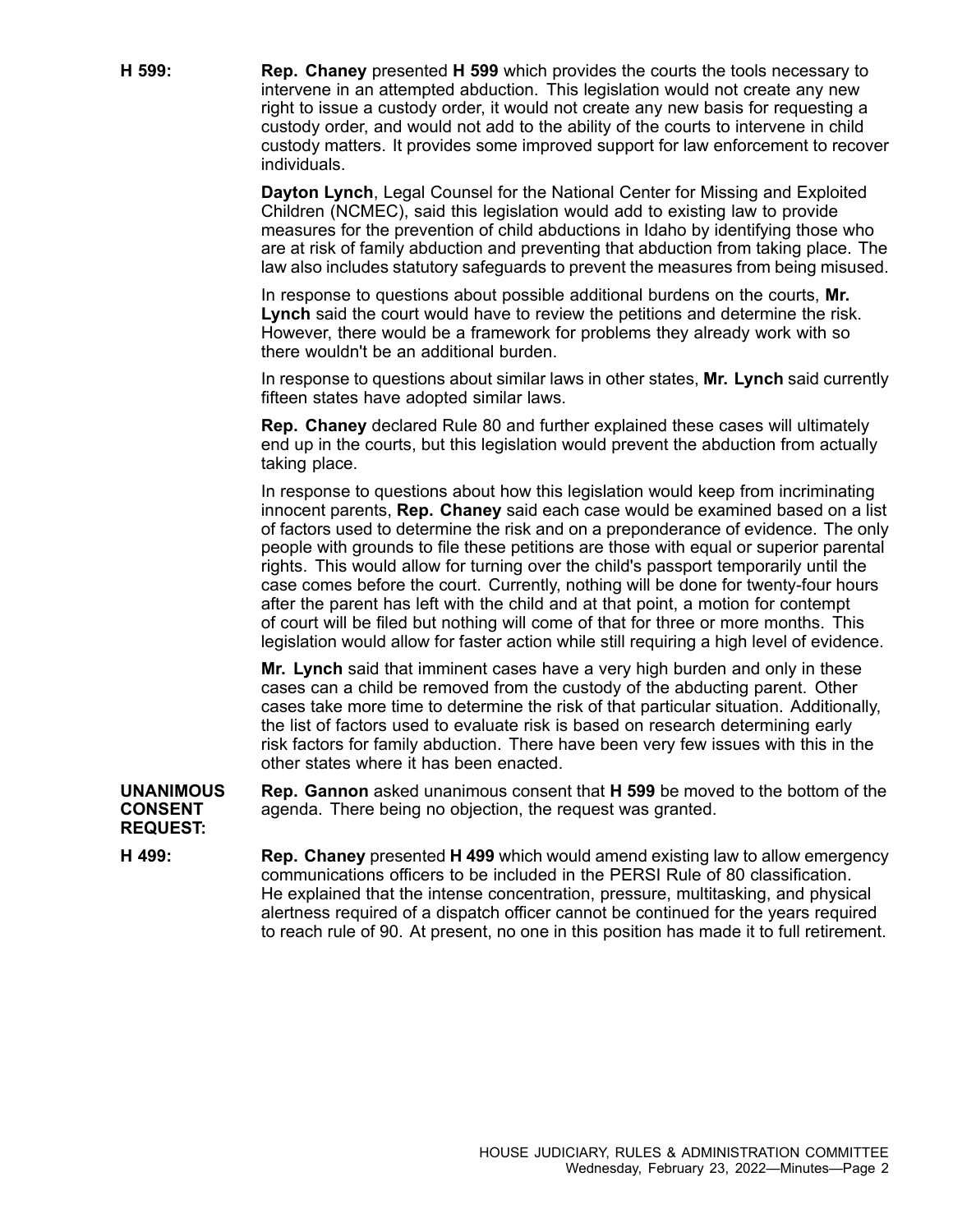**H 599: Rep. Chaney** presented **H 599** which provides the courts the tools necessary to intervene in an attempted abduction. This legislation would not create any new right to issue <sup>a</sup> custody order, it would not create any new basis for requesting <sup>a</sup> custody order, and would not add to the ability of the courts to intervene in child custody matters. It provides some improved support for law enforcement to recover individuals.

> **Dayton Lynch**, Legal Counsel for the National Center for Missing and Exploited Children (NCMEC), said this legislation would add to existing law to provide measures for the prevention of child abductions in Idaho by identifying those who are at risk of family abduction and preventing that abduction from taking place. The law also includes statutory safeguards to prevent the measures from being misused.

In response to questions about possible additional burdens on the courts, **Mr. Lynch** said the court would have to review the petitions and determine the risk. However, there would be <sup>a</sup> framework for problems they already work with so there wouldn't be an additional burden.

In response to questions about similar laws in other states, **Mr. Lynch** said currently fifteen states have adopted similar laws.

**Rep. Chaney** declared Rule 80 and further explained these cases will ultimately end up in the courts, but this legislation would prevent the abduction from actually taking place.

In response to questions about how this legislation would keep from incriminating innocent parents, **Rep. Chaney** said each case would be examined based on <sup>a</sup> list of factors used to determine the risk and on <sup>a</sup> preponderance of evidence. The only people with grounds to file these petitions are those with equal or superior parental rights. This would allow for turning over the child's passport temporarily until the case comes before the court. Currently, nothing will be done for twenty-four hours after the parent has left with the child and at that point, <sup>a</sup> motion for contempt of court will be filed but nothing will come of that for three or more months. This legislation would allow for faster action while still requiring <sup>a</sup> high level of evidence.

**Mr. Lynch** said that imminent cases have <sup>a</sup> very high burden and only in these cases can <sup>a</sup> child be removed from the custody of the abducting parent. Other cases take more time to determine the risk of that particular situation. Additionally, the list of factors used to evaluate risk is based on research determining early risk factors for family abduction. There have been very few issues with this in the other states where it has been enacted.

**UNANIMOUS CONSENT Rep. Gannon** asked unanimous consent that **H 599** be moved to the bottom of the agenda. There being no objection, the request was granted.

**REQUEST:**

**H 499: Rep. Chaney** presented **H 499** which would amend existing law to allow emergency communications officers to be included in the PERSI Rule of 80 classification. He explained that the intense concentration, pressure, multitasking, and physical alertness required of <sup>a</sup> dispatch officer cannot be continued for the years required to reach rule of 90. At present, no one in this position has made it to full retirement.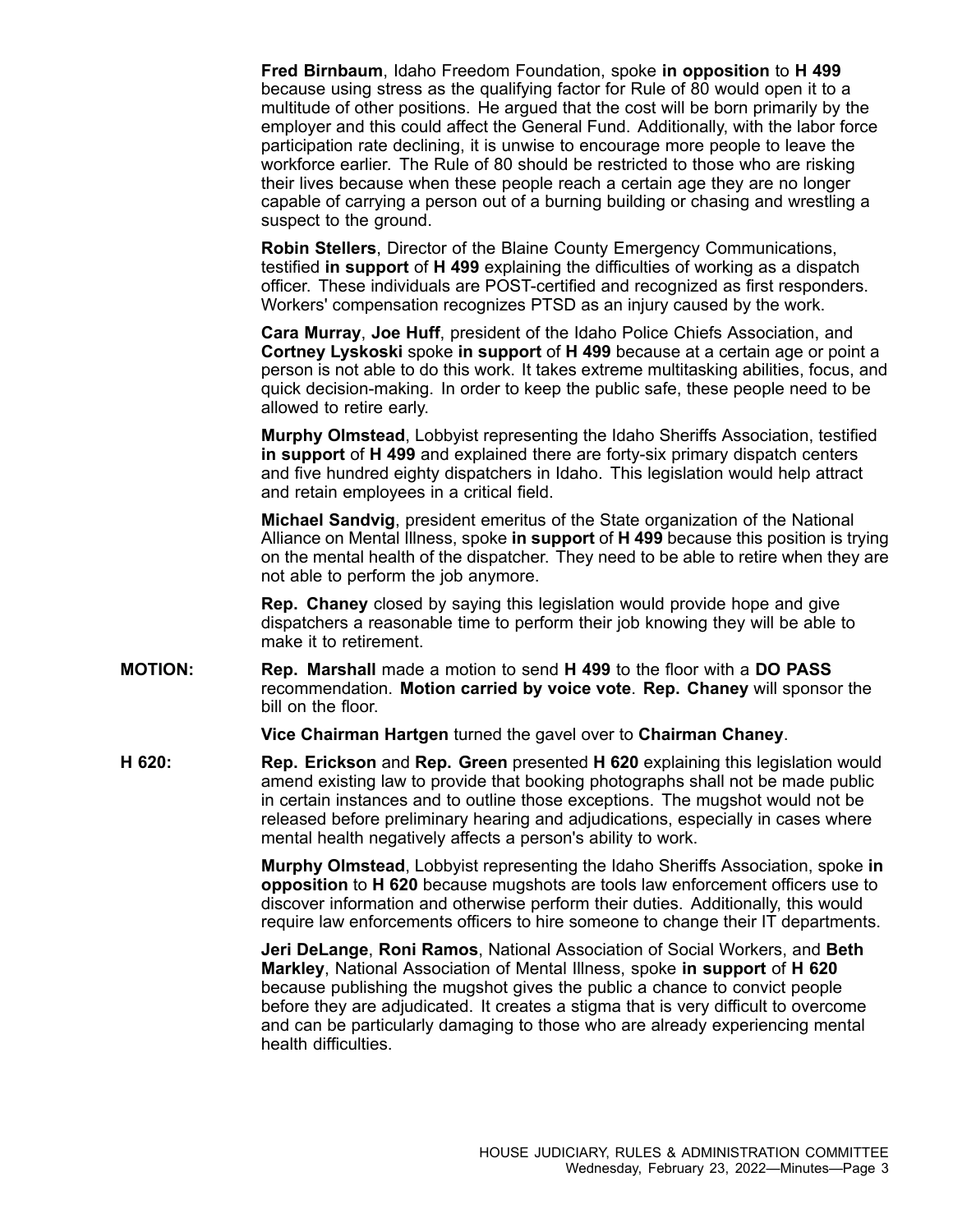**Fred Birnbaum**, Idaho Freedom Foundation, spoke **in opposition** to **H 499** because using stress as the qualifying factor for Rule of 80 would open it to <sup>a</sup> multitude of other positions. He argued that the cost will be born primarily by the employer and this could affect the General Fund. Additionally, with the labor force participation rate declining, it is unwise to encourage more people to leave the workforce earlier. The Rule of 80 should be restricted to those who are risking their lives because when these people reach <sup>a</sup> certain age they are no longer capable of carrying <sup>a</sup> person out of <sup>a</sup> burning building or chasing and wrestling <sup>a</sup> suspect to the ground.

**Robin Stellers**, Director of the Blaine County Emergency Communications, testified **in support** of **H 499** explaining the difficulties of working as <sup>a</sup> dispatch officer. These individuals are POST-certified and recognized as first responders. Workers' compensation recognizes PTSD as an injury caused by the work.

**Cara Murray**, **Joe Huff**, president of the Idaho Police Chiefs Association, and **Cortney Lyskoski** spoke **in support** of **H 499** because at <sup>a</sup> certain age or point <sup>a</sup> person is not able to do this work. It takes extreme multitasking abilities, focus, and quick decision-making. In order to keep the public safe, these people need to be allowed to retire early.

**Murphy Olmstead**, Lobbyist representing the Idaho Sheriffs Association, testified **in support** of **H 499** and explained there are forty-six primary dispatch centers and five hundred eighty dispatchers in Idaho. This legislation would help attract and retain employees in <sup>a</sup> critical field.

**Michael Sandvig**, president emeritus of the State organization of the National Alliance on Mental Illness, spoke **in support** of **H 499** because this position is trying on the mental health of the dispatcher. They need to be able to retire when they are not able to perform the job anymore.

**Rep. Chaney** closed by saying this legislation would provide hope and give dispatchers <sup>a</sup> reasonable time to perform their job knowing they will be able to make it to retirement.

**MOTION: Rep. Marshall** made <sup>a</sup> motion to send **H 499** to the floor with <sup>a</sup> **DO PASS** recommendation. **Motion carried by voice vote**. **Rep. Chaney** will sponsor the bill on the floor.

**Vice Chairman Hartgen** turned the gavel over to **Chairman Chaney**.

**H 620: Rep. Erickson** and **Rep. Green** presented **H 620** explaining this legislation would amend existing law to provide that booking photographs shall not be made public in certain instances and to outline those exceptions. The mugshot would not be released before preliminary hearing and adjudications, especially in cases where mental health negatively affects <sup>a</sup> person's ability to work.

> **Murphy Olmstead**, Lobbyist representing the Idaho Sheriffs Association, spoke **in opposition** to **H 620** because mugshots are tools law enforcement officers use to discover information and otherwise perform their duties. Additionally, this would require law enforcements officers to hire someone to change their IT departments.

**Jeri DeLange**, **Roni Ramos**, National Association of Social Workers, and **Beth Markley**, National Association of Mental Illness, spoke **in support** of **H 620** because publishing the mugshot gives the public <sup>a</sup> chance to convict people before they are adjudicated. It creates <sup>a</sup> stigma that is very difficult to overcome and can be particularly damaging to those who are already experiencing mental health difficulties.